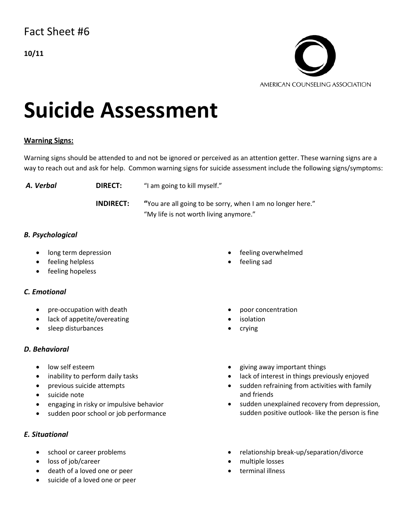

# **Suicide Assessment**

### **Warning Signs:**

Warning signs should be attended to and not be ignored or perceived as an attention getter. These warning signs are a way to reach out and ask for help. Common warning signs for suicide assessment include the following signs/symptoms:

**A. Verbal <b>DIRECT:** "I am going to kill myself." **INDIRECT: "**You are all going to be sorry, when I am no longer here." "My life is not worth living anymore."

## *B. Psychological*

- long term depression
- feeling helpless
- feeling hopeless

### *C. Emotional*

- pre-occupation with death
- lack of appetite/overeating
- sleep disturbances

### *D. Behavioral*

- low self esteem
- inability to perform daily tasks
- previous suicide attempts
- suicide note
- engaging in risky or impulsive behavior
- sudden poor school or job performance

### *E. Situational*

- school or career problems
- loss of job/career
- death of a loved one or peer
- suicide of a loved one or peer
- feeling overwhelmed
- feeling sad
- poor concentration
- **isolation**
- crying
- giving away important things
- lack of interest in things previously enjoyed
- sudden refraining from activities with family and friends
- sudden unexplained recovery from depression, sudden positive outlook- like the person is fine
- relationship break-up/separation/divorce
- multiple losses
- terminal illness